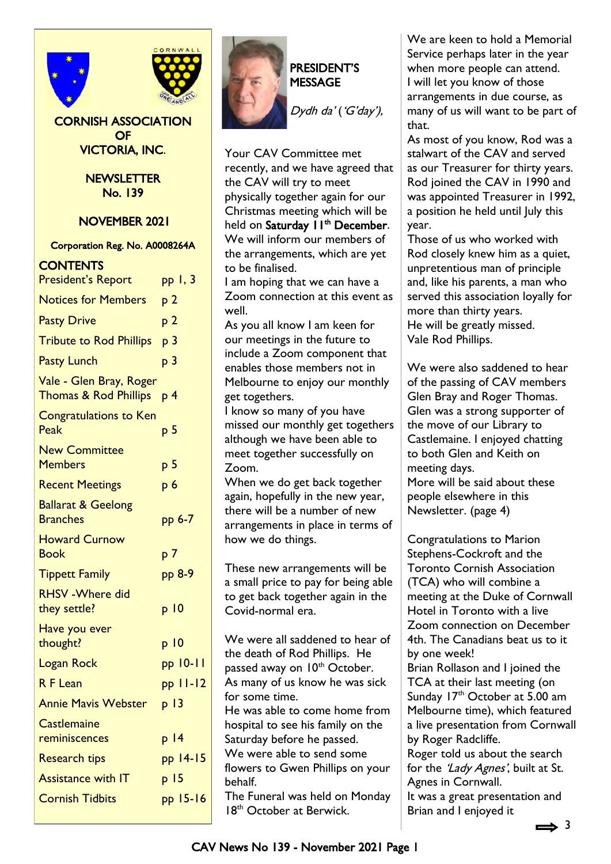



#### CORNISH ASSOCIATION OF VICTORIA, INC.

**NEWSLETTER** No. 139

NOVEMBER 2021

#### Corporation Reg. No. A0008264A

#### **CONTENTS**

| <b>President's Report</b>                                   | pp 1, 3         |
|-------------------------------------------------------------|-----------------|
| <b>Notices for Members</b>                                  | p 2             |
| <b>Pasty Drive</b>                                          | p <sub>2</sub>  |
| <b>Tribute to Rod Phillips</b>                              | p <sub>3</sub>  |
| <b>Pasty Lunch</b>                                          | p <sub>3</sub>  |
| Vale - Glen Bray, Roger<br><b>Thomas &amp; Rod Phillips</b> | p 4             |
| <b>Congratulations to Ken</b><br>Peak                       | р 5             |
| <b>New Committee</b><br><b>Members</b>                      | р 5             |
| <b>Recent Meetings</b>                                      | p <sub>6</sub>  |
| <b>Ballarat &amp; Geelong</b><br><b>Branches</b>            | pp 6-7          |
| <b>Howard Curnow</b><br><b>Book</b>                         | p <sub>7</sub>  |
| <b>Tippett Family</b>                                       | pp 8-9          |
| <b>RHSV-Where did</b><br>they settle?                       | p 10            |
| Have you ever<br>thought?                                   | p 10            |
| <b>Logan Rock</b>                                           | pp 10-11        |
| R F Lean                                                    | $pp$ $11-12$    |
| <b>Annie Mavis Webster</b>                                  | p 13            |
| <b>Castlemaine</b><br><u>reminiscences</u>                  | p 14            |
| <b>Research tips</b>                                        | pp 14-15        |
| <b>Assistance with IT</b>                                   | p <sub>15</sub> |
| <b>Cornish Tidbits</b>                                      | pp 15-16        |
|                                                             |                 |



# PRESIDENT'S MESSAGE

Dydh da' ('G'day'),

Your CAV Committee met recently, and we have agreed that the CAV will try to meet physically together again for our Christmas meeting which will be held on Saturday II<sup>th</sup> December. We will inform our members of the arrangements, which are yet to be finalised.

I am hoping that we can have a Zoom connection at this event as well.

As you all know I am keen for our meetings in the future to include a Zoom component that enables those members not in Melbourne to enjoy our monthly get togethers.

I know so many of you have missed our monthly get togethers although we have been able to meet together successfully on Zoom.

When we do get back together again, hopefully in the new year, there will be a number of new arrangements in place in terms of how we do things.

These new arrangements will be a small price to pay for being able to get back together again in the Covid-normal era.

We were all saddened to hear of the death of Rod Phillips. He passed away on 10<sup>th</sup> October. As many of us know he was sick for some time. He was able to come home from hospital to see his family on the Saturday before he passed. We were able to send some flowers to Gwen Phillips on your behalf. The Funeral was held on Monday 18<sup>th</sup> October at Berwick.

We are keen to hold a Memorial Service perhaps later in the year when more people can attend. I will let you know of those arrangements in due course, as many of us will want to be part of that.

As most of you know, Rod was a stalwart of the CAV and served as our Treasurer for thirty years. Rod joined the CAV in 1990 and was appointed Treasurer in 1992, a position he held until July this year.

Those of us who worked with Rod closely knew him as a quiet, unpretentious man of principle and, like his parents, a man who served this association loyally for more than thirty years. He will be greatly missed. Vale Rod Phillips.

We were also saddened to hear of the passing of CAV members Glen Bray and Roger Thomas. Glen was a strong supporter of the move of our Library to Castlemaine. I enjoyed chatting to both Glen and Keith on meeting days.

More will be said about these people elsewhere in this Newsletter. (page 4)

Congratulations to Marion Stephens-Cockroft and the Toronto Cornish Association (TCA) who will combine a meeting at the Duke of Cornwall Hotel in Toronto with a live Zoom connection on December 4th. The Canadians beat us to it by one week! Brian Rollason and I joined the TCA at their last meeting (on Sunday 17<sup>th</sup> October at 5.00 am Melbourne time), which featured

a live presentation from Cornwall by Roger Radcliffe. Roger told us about the search

for the 'Lady Agnes', built at St. Agnes in Cornwall. It was a great presentation and Brian and I enjoyed it

 $\Rightarrow$  3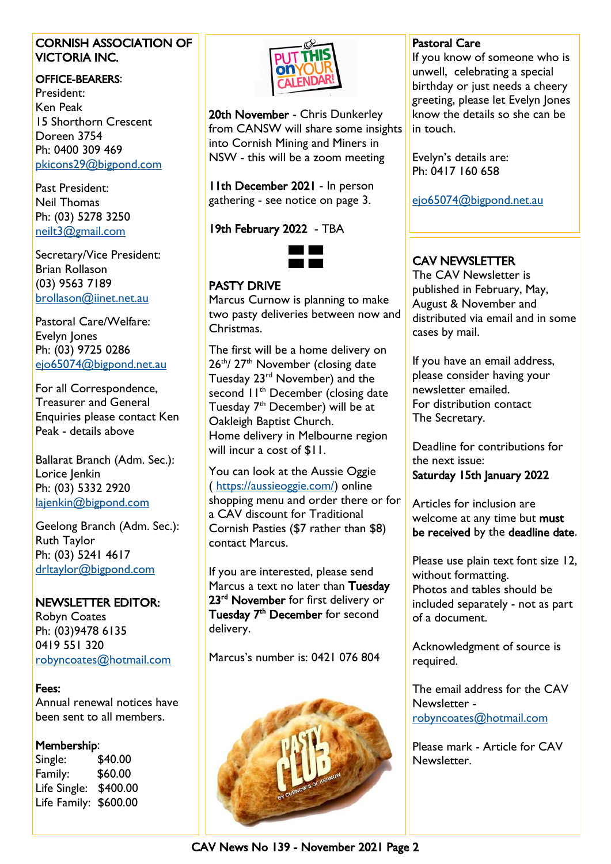#### CORNISH ASSOCIATION OF VICTORIA INC.

#### OFFICE-BEARERS:

President: Ken Peak 15 Shorthorn Crescent Doreen 3754 Ph: 0400 309 469 [pkicons29@bigpond.com](mailto:pkicons29@bigpond.com)

Past President: Neil Thomas Ph: (03) 5278 3250 [neilt3@gmail.com](mailto:neilt3@gmail.com)

Secretary/Vice President: Brian Rollason (03) 9563 7189 [brollason@iinet.net.au](mailto:brollason@iinet.net.au)

Pastoral Care/Welfare: Evelyn Jones Ph: (03) 9725 0286 [ejo65074@bigpond.net.au](mailto:ejo65074@bigpond.net.au)

For all Correspondence, Treasurer and General Enquiries please contact Ken Peak - details above

Ballarat Branch (Adm. Sec.): Lorice Jenkin Ph: (03) 5332 2920 [lajenkin@bigpond.com](mailto:lajenkin@bigpond.com)

Geelong Branch (Adm. Sec.): Ruth Taylor Ph: (03) 5241 4617 [drltaylor@bigpond.com](mailto:drltaylor@bigpond.com)

# NEWSLETTER EDITOR:

Robyn Coates Ph: (03)9478 6135 0419 551 320 [robyncoates@hotmail.com](mailto:robyncoates@hotmail.com)

Fees: Annual renewal notices have been sent to all members.

# Membership:

Single: \$40.00 Family: \$60.00 Life Single: \$400.00 Life Family: \$600.00



20th November - Chris Dunkerley from CANSW will share some insights into Cornish Mining and Miners in NSW - this will be a zoom meeting

11th December 2021 - In person gathering - see notice on page 3.

19th February 2022 - TBA



# PASTY DRIVE

Marcus Curnow is planning to make two pasty deliveries between now and Christmas.

The first will be a home delivery on 26<sup>th</sup>/27<sup>th</sup> November (closing date Tuesday 23rd November) and the second  $11<sup>th</sup>$  December (closing date Tuesday 7<sup>th</sup> December) will be at Oakleigh Baptist Church. Home delivery in Melbourne region will incur a cost of \$11.

You can look at the Aussie Oggie ( [https://aussieoggie.com/\)](https://aussieoggie.com/) online shopping menu and order there or for a CAV discount for Traditional Cornish Pasties (\$7 rather than \$8) contact Marcus.

If you are interested, please send Marcus a text no later than Tuesday 23<sup>rd</sup> November for first delivery or Tuesday 7<sup>th</sup> December for second delivery.

Marcus's number is: 0421 076 804



# Pastoral Care

If you know of someone who is unwell, celebrating a special birthday or just needs a cheery greeting, please let Evelyn Jones know the details so she can be in touch.

Evelyn's details are: Ph: 0417 160 658

[ejo65074@bigpond.net.au](mailto:ejo65074@bigpond.net.au)

# CAV NEWSLETTER

The CAV Newsletter is published in February, May, August & November and distributed via email and in some cases by mail.

If you have an email address, please consider having your newsletter emailed. For distribution contact The Secretary.

Deadline for contributions for the next issue: Saturday 15th January 2022

Articles for inclusion are welcome at any time but must be received by the deadline date.

Please use plain text font size 12, without formatting. Photos and tables should be included separately - not as part of a document.

Acknowledgment of source is required.

The email address for the CAV Newsletter [robyncoates@hotmail.com](mailto:robyncoates@hotmail.com)

Please mark - Article for CAV Newsletter.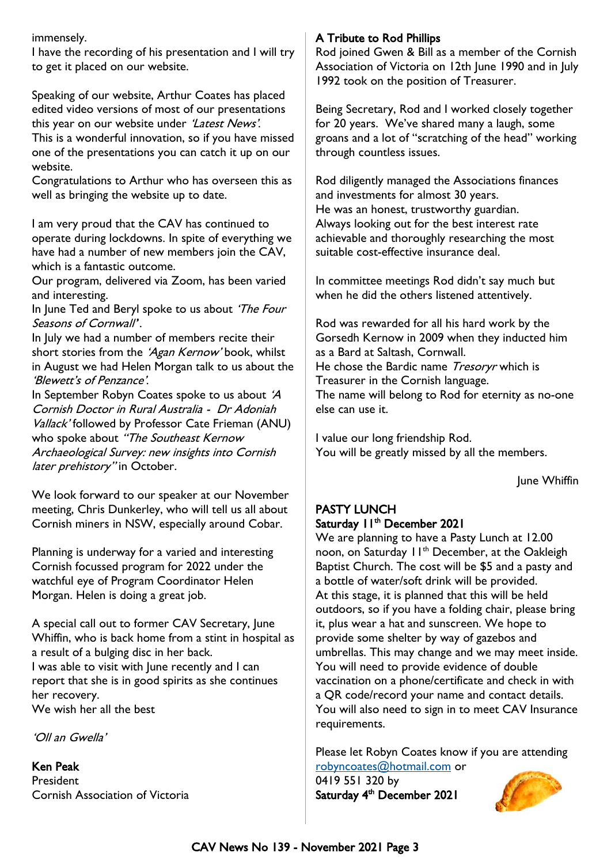immensely.

I have the recording of his presentation and I will try to get it placed on our website.

Speaking of our website, Arthur Coates has placed edited video versions of most of our presentations this year on our website under 'Latest News'.

This is a wonderful innovation, so if you have missed one of the presentations you can catch it up on our website.

Congratulations to Arthur who has overseen this as well as bringing the website up to date.

I am very proud that the CAV has continued to operate during lockdowns. In spite of everything we have had a number of new members join the CAV, which is a fantastic outcome.

Our program, delivered via Zoom, has been varied and interesting.

In June Ted and Beryl spoke to us about 'The Four Seasons of Cornwall''.

In July we had a number of members recite their short stories from the 'Agan Kernow' book, whilst in August we had Helen Morgan talk to us about the 'Blewett's of Penzance'.

In September Robyn Coates spoke to us about '<sup>A</sup> Cornish Doctor in Rural Australia - Dr Adoniah Vallack' followed by Professor Cate Frieman (ANU) who spoke about "The Southeast Kernow Archaeological Survey: new insights into Cornish later prehistory" in October.

We look forward to our speaker at our November meeting, Chris Dunkerley, who will tell us all about Cornish miners in NSW, especially around Cobar.

Planning is underway for a varied and interesting Cornish focussed program for 2022 under the watchful eye of Program Coordinator Helen Morgan. Helen is doing a great job.

A special call out to former CAV Secretary, June Whiffin, who is back home from a stint in hospital as a result of a bulging disc in her back. I was able to visit with June recently and I can report that she is in good spirits as she continues her recovery. We wish her all the best

'Oll an Gwella'

Ken Peak President Cornish Association of Victoria

# A Tribute to Rod Phillips

Rod joined Gwen & Bill as a member of the Cornish Association of Victoria on 12th June 1990 and in July 1992 took on the position of Treasurer.

Being Secretary, Rod and I worked closely together for 20 years. We've shared many a laugh, some groans and a lot of "scratching of the head" working through countless issues.

Rod diligently managed the Associations finances and investments for almost 30 years. He was an honest, trustworthy guardian. Always looking out for the best interest rate achievable and thoroughly researching the most suitable cost-effective insurance deal.

In committee meetings Rod didn't say much but when he did the others listened attentively.

Rod was rewarded for all his hard work by the Gorsedh Kernow in 2009 when they inducted him as a Bard at Saltash, Cornwall. He chose the Bardic name *Tresoryr* which is Treasurer in the Cornish language. The name will belong to Rod for eternity as no-one else can use it.

I value our long friendship Rod. You will be greatly missed by all the members.

June Whiffin

# PASTY LUNCH Saturday 11<sup>th</sup> December 2021

We are planning to have a Pasty Lunch at 12.00 noon, on Saturday 11<sup>th</sup> December, at the Oakleigh Baptist Church. The cost will be \$5 and a pasty and a bottle of water/soft drink will be provided. At this stage, it is planned that this will be held outdoors, so if you have a folding chair, please bring it, plus wear a hat and sunscreen. We hope to provide some shelter by way of gazebos and umbrellas. This may change and we may meet inside. You will need to provide evidence of double vaccination on a phone/certificate and check in with a QR code/record your name and contact details. You will also need to sign in to meet CAV Insurance requirements.

Please let Robyn Coates know if you are attending [robyncoates@hotmail.com](mailto:robyncoates@hotmail.com) or

0419 551 320 by Saturday 4<sup>th</sup> December 2021

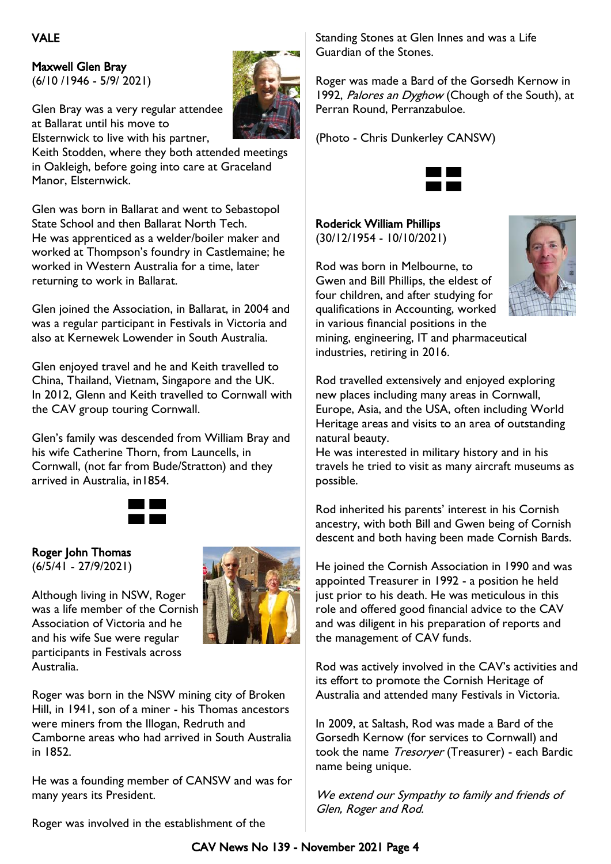Maxwell Glen Bray (6/10 /1946 - 5/9/ 2021)

Glen Bray was a very regular attendee at Ballarat until his move to Elsternwick to live with his partner,



Keith Stodden, where they both attended meetings in Oakleigh, before going into care at Graceland Manor, Elsternwick.

Glen was born in Ballarat and went to Sebastopol State School and then Ballarat North Tech. He was apprenticed as a welder/boiler maker and worked at Thompson's foundry in Castlemaine; he worked in Western Australia for a time, later returning to work in Ballarat.

Glen joined the Association, in Ballarat, in 2004 and was a regular participant in Festivals in Victoria and also at Kernewek Lowender in South Australia.

Glen enjoyed travel and he and Keith travelled to China, Thailand, Vietnam, Singapore and the UK. In 2012, Glenn and Keith travelled to Cornwall with the CAV group touring Cornwall.

Glen's family was descended from William Bray and his wife Catherine Thorn, from Launcells, in Cornwall, (not far from Bude/Stratton) and they arrived in Australia, in1854.



# Roger John Thomas

(6/5/41 - 27/9/2021)

Although living in NSW, Roger was a life member of the Cornish Association of Victoria and he and his wife Sue were regular participants in Festivals across Australia.



Roger was born in the NSW mining city of Broken Hill, in 1941, son of a miner - his Thomas ancestors were miners from the Illogan, Redruth and Camborne areas who had arrived in South Australia in 1852.

He was a founding member of CANSW and was for many years its President.

Roger was involved in the establishment of the

Standing Stones at Glen Innes and was a Life Guardian of the Stones.

Roger was made a Bard of the Gorsedh Kernow in 1992, Palores an Dyghow (Chough of the South), at Perran Round, Perranzabuloe.

(Photo - Chris Dunkerley CANSW)



Roderick William Phillips (30/12/1954 - 10/10/2021)

Rod was born in Melbourne, to Gwen and Bill Phillips, the eldest of four children, and after studying for qualifications in Accounting, worked in various financial positions in the mining, engineering, IT and pharmaceutical industries, retiring in 2016.



Rod travelled extensively and enjoyed exploring new places including many areas in Cornwall, Europe, Asia, and the USA, often including World Heritage areas and visits to an area of outstanding natural beauty.

He was interested in military history and in his travels he tried to visit as many aircraft museums as possible.

Rod inherited his parents' interest in his Cornish ancestry, with both Bill and Gwen being of Cornish descent and both having been made Cornish Bards.

He joined the Cornish Association in 1990 and was appointed Treasurer in 1992 - a position he held just prior to his death. He was meticulous in this role and offered good financial advice to the CAV and was diligent in his preparation of reports and the management of CAV funds.

Rod was actively involved in the CAV's activities and its effort to promote the Cornish Heritage of Australia and attended many Festivals in Victoria.

In 2009, at Saltash, Rod was made a Bard of the Gorsedh Kernow (for services to Cornwall) and took the name Tresoryer (Treasurer) - each Bardic name being unique.

We extend our Sympathy to family and friends of Glen, Roger and Rod.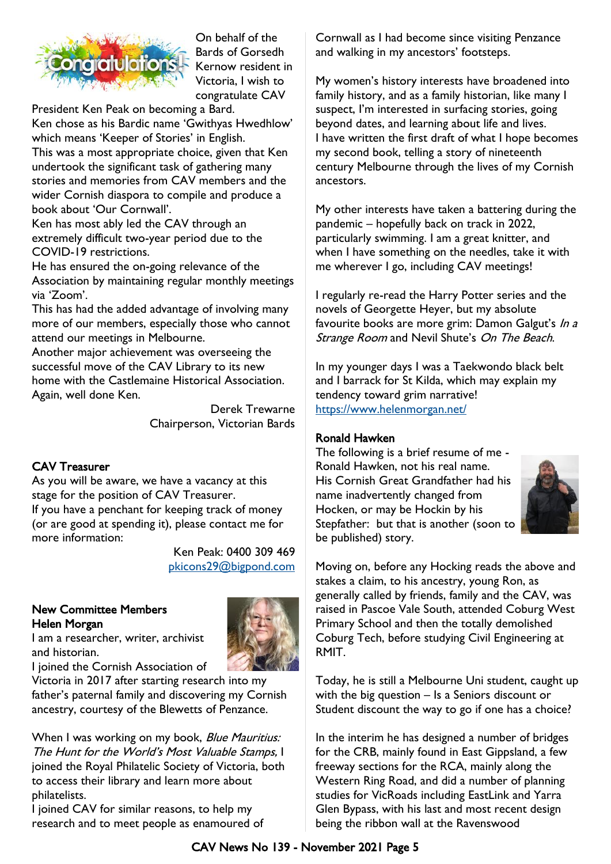

On behalf of the Bards of Gorsedh Kernow resident in Victoria, I wish to congratulate CAV

President Ken Peak on becoming a Bard. Ken chose as his Bardic name 'Gwithyas Hwedhlow'

which means 'Keeper of Stories' in English. This was a most appropriate choice, given that Ken undertook the significant task of gathering many stories and memories from CAV members and the wider Cornish diaspora to compile and produce a book about 'Our Cornwall'.

Ken has most ably led the CAV through an extremely difficult two-year period due to the COVID-19 restrictions.

He has ensured the on-going relevance of the Association by maintaining regular monthly meetings via 'Zoom'.

This has had the added advantage of involving many more of our members, especially those who cannot attend our meetings in Melbourne.

Another major achievement was overseeing the successful move of the CAV Library to its new home with the Castlemaine Historical Association. Again, well done Ken.

> Derek Trewarne Chairperson, Victorian Bards

#### CAV Treasurer

As you will be aware, we have a vacancy at this stage for the position of CAV Treasurer. If you have a penchant for keeping track of money (or are good at spending it), please contact me for more information:

> Ken Peak: 0400 309 469 [pkicons29@bigpond.com](mailto:pkicons29@bigpond.com)

#### New Committee Members Helen Morgan I am a researcher, writer, archivist

and historian.



I joined the Cornish Association of

Victoria in 2017 after starting research into my father's paternal family and discovering my Cornish ancestry, courtesy of the Blewetts of Penzance.

When I was working on my book, Blue Mauritius: The Hunt for the World's Most Valuable Stamps, I joined the Royal Philatelic Society of Victoria, both to access their library and learn more about philatelists.

I joined CAV for similar reasons, to help my research and to meet people as enamoured of Cornwall as I had become since visiting Penzance and walking in my ancestors' footsteps.

My women's history interests have broadened into family history, and as a family historian, like many I suspect, I'm interested in surfacing stories, going beyond dates, and learning about life and lives. I have written the first draft of what I hope becomes my second book, telling a story of nineteenth century Melbourne through the lives of my Cornish ancestors.

My other interests have taken a battering during the pandemic – hopefully back on track in 2022, particularly swimming. I am a great knitter, and when I have something on the needles, take it with me wherever I go, including CAV meetings!

I regularly re-read the Harry Potter series and the novels of Georgette Heyer, but my absolute favourite books are more grim: Damon Galgut's In a Strange Room and Nevil Shute's On The Beach.

In my younger days I was a Taekwondo black belt and I barrack for St Kilda, which may explain my tendency toward grim narrative! <https://www.helenmorgan.net/>

#### Ronald Hawken

The following is a brief resume of me - Ronald Hawken, not his real name. His Cornish Great Grandfather had his name inadvertently changed from Hocken, or may be Hockin by his Stepfather: but that is another (soon to be published) story.



Moving on, before any Hocking reads the above and stakes a claim, to his ancestry, young Ron, as generally called by friends, family and the CAV, was raised in Pascoe Vale South, attended Coburg West Primary School and then the totally demolished Coburg Tech, before studying Civil Engineering at RMIT.

Today, he is still a Melbourne Uni student, caught up with the big question – Is a Seniors discount or Student discount the way to go if one has a choice?

In the interim he has designed a number of bridges for the CRB, mainly found in East Gippsland, a few freeway sections for the RCA, mainly along the Western Ring Road, and did a number of planning studies for VicRoads including EastLink and Yarra Glen Bypass, with his last and most recent design being the ribbon wall at the Ravenswood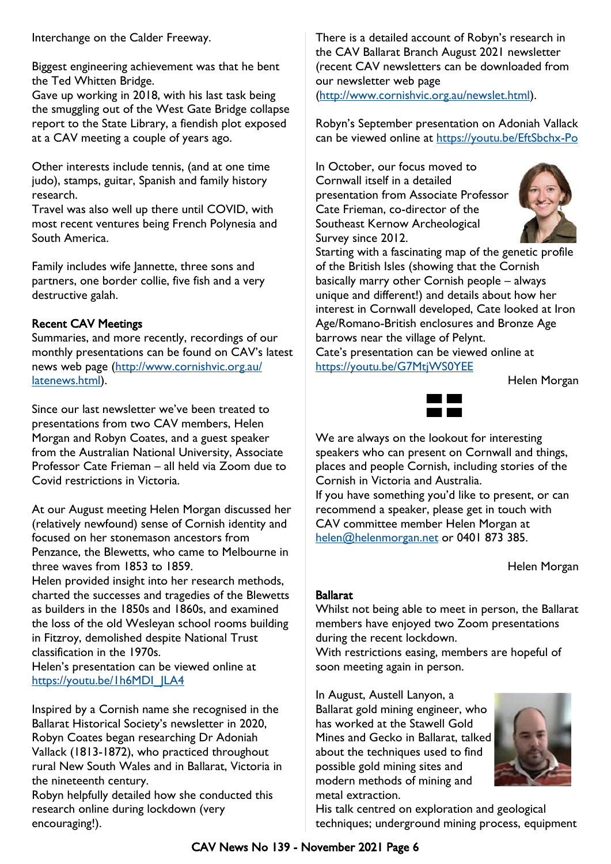Interchange on the Calder Freeway.

Biggest engineering achievement was that he bent the Ted Whitten Bridge.

Gave up working in 2018, with his last task being the smuggling out of the West Gate Bridge collapse report to the State Library, a fiendish plot exposed at a CAV meeting a couple of years ago.

Other interests include tennis, (and at one time judo), stamps, guitar, Spanish and family history research.

Travel was also well up there until COVID, with most recent ventures being French Polynesia and South America.

Family includes wife Jannette, three sons and partners, one border collie, five fish and a very destructive galah.

#### Recent CAV Meetings

Summaries, and more recently, recordings of our monthly presentations can be found on CAV's latest news web page [\(http://www.cornishvic.org.au/](http://www.cornishvic.org.au/latenews.html) [latenews.html\).](http://www.cornishvic.org.au/latenews.html)

Since our last newsletter we've been treated to presentations from two CAV members, Helen Morgan and Robyn Coates, and a guest speaker from the Australian National University, Associate Professor Cate Frieman – all held via Zoom due to Covid restrictions in Victoria.

At our August meeting Helen Morgan discussed her (relatively newfound) sense of Cornish identity and focused on her stonemason ancestors from Penzance, the Blewetts, who came to Melbourne in three waves from 1853 to 1859.

Helen provided insight into her research methods, charted the successes and tragedies of the Blewetts as builders in the 1850s and 1860s, and examined the loss of the old Wesleyan school rooms building in Fitzroy, demolished despite National Trust classification in the 1970s.

Helen's presentation can be viewed online at [https://youtu.be/1h6MDI\\_JLA4](https://youtu.be/1h6MDI_JLA4)

Inspired by a Cornish name she recognised in the Ballarat Historical Society's newsletter in 2020, Robyn Coates began researching Dr Adoniah Vallack (1813-1872), who practiced throughout rural New South Wales and in Ballarat, Victoria in the nineteenth century.

Robyn helpfully detailed how she conducted this research online during lockdown (very encouraging!).

There is a detailed account of Robyn's research in the CAV Ballarat Branch August 2021 newsletter (recent CAV newsletters can be downloaded from our newsletter web page [\(http://www.cornishvic.org.au/newslet.html\)](http://www.cornishvic.org.au/newslet.html).

Robyn's September presentation on Adoniah Vallack can be viewed online at<https://youtu.be/EftSbchx-Po>

In October, our focus moved to Cornwall itself in a detailed presentation from Associate Professor Cate Frieman, co-director of the Southeast Kernow Archeological Survey since 2012.



Starting with a fascinating map of the genetic profile of the British Isles (showing that the Cornish basically marry other Cornish people – always unique and different!) and details about how her interest in Cornwall developed, Cate looked at Iron Age/Romano-British enclosures and Bronze Age barrows near the village of Pelynt. Cate's presentation can be viewed online at

<https://youtu.be/G7MtjWS0YEE>

Helen Morgan



We are always on the lookout for interesting speakers who can present on Cornwall and things, places and people Cornish, including stories of the Cornish in Victoria and Australia. If you have something you'd like to present, or can recommend a speaker, please get in touch with CAV committee member Helen Morgan at [helen@helenmorgan.net](mailto:helen@helenmorgan.net) or 0401 873 385.

Helen Morgan

#### Ballarat

Whilst not being able to meet in person, the Ballarat members have enjoyed two Zoom presentations during the recent lockdown.

With restrictions easing, members are hopeful of soon meeting again in person.

In August, Austell Lanyon, a Ballarat gold mining engineer, who has worked at the Stawell Gold Mines and Gecko in Ballarat, talked about the techniques used to find possible gold mining sites and modern methods of mining and metal extraction.



His talk centred on exploration and geological techniques; underground mining process, equipment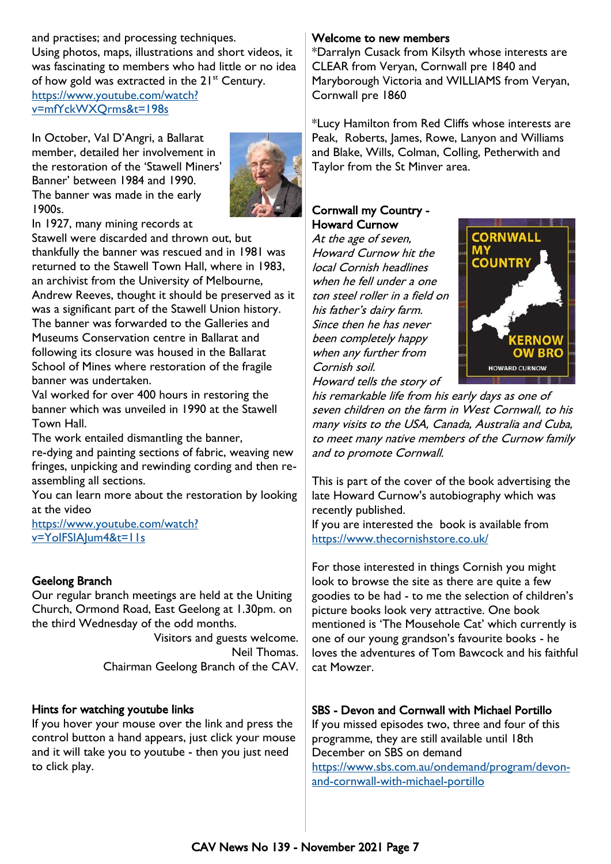and practises; and processing techniques. Using photos, maps, illustrations and short videos, it was fascinating to members who had little or no idea of how gold was extracted in the  $21^{st}$  Century. [https://www.youtube.com/watch?](https://www.youtube.com/watch?v=mfYckWXQrms&t=198s)

[v=mfYckWXQrms&t=198s](https://www.youtube.com/watch?v=mfYckWXQrms&t=198s)

In October, Val D'Angri, a Ballarat member, detailed her involvement in the restoration of the 'Stawell Miners' Banner' between 1984 and 1990. The banner was made in the early 1900s.



In 1927, many mining records at

Stawell were discarded and thrown out, but thankfully the banner was rescued and in 1981 was returned to the Stawell Town Hall, where in 1983, an archivist from the University of Melbourne, Andrew Reeves, thought it should be preserved as it was a significant part of the Stawell Union history. The banner was forwarded to the Galleries and Museums Conservation centre in Ballarat and following its closure was housed in the Ballarat School of Mines where restoration of the fragile banner was undertaken.

Val worked for over 400 hours in restoring the banner which was unveiled in 1990 at the Stawell Town Hall.

The work entailed dismantling the banner,

re-dying and painting sections of fabric, weaving new fringes, unpicking and rewinding cording and then reassembling all sections.

You can learn more about the restoration by looking at the video

[https://www.youtube.com/watch?](https://www.youtube.com/watch?v=YoIFSIAJum4&t=11s) [v=YoIFSIAJum4&t=11s](https://www.youtube.com/watch?v=YoIFSIAJum4&t=11s)

#### Geelong Branch

Our regular branch meetings are held at the Uniting Church, Ormond Road, East Geelong at 1.30pm. on the third Wednesday of the odd months.

> Visitors and guests welcome. Neil Thomas. Chairman Geelong Branch of the CAV.

#### Hints for watching youtube links

If you hover your mouse over the link and press the control button a hand appears, just click your mouse and it will take you to youtube - then you just need to click play.

#### Welcome to new members

\*Darralyn Cusack from Kilsyth whose interests are CLEAR from Veryan, Cornwall pre 1840 and Maryborough Victoria and WILLIAMS from Veryan, Cornwall pre 1860

\*Lucy Hamilton from Red Cliffs whose interests are Peak, Roberts, James, Rowe, Lanyon and Williams and Blake, Wills, Colman, Colling, Petherwith and Taylor from the St Minver area.

#### Cornwall my Country - Howard Curnow

At the age of seven, Howard Curnow hit the local Cornish headlines when he fell under a one ton steel roller in a field on his father's dairy farm. Since then he has never been completely happy when any further from Cornish soil. Howard tells the story of



his remarkable life from his early days as one of seven children on the farm in West Cornwall, to his many visits to the USA, Canada, Australia and Cuba, to meet many native members of the Curnow family and to promote Cornwall.

This is part of the cover of the book advertising the late Howard Curnow's autobiography which was recently published.

If you are interested the book is available from <https://www.thecornishstore.co.uk/>

For those interested in things Cornish you might look to browse the site as there are quite a few goodies to be had - to me the selection of children's picture books look very attractive. One book mentioned is 'The Mousehole Cat' which currently is one of our young grandson's favourite books - he loves the adventures of Tom Bawcock and his faithful cat Mowzer.

#### SBS - Devon and Cornwall with Michael Portillo

If you missed episodes two, three and four of this programme, they are still available until 18th December on SBS on demand [h](https://www.sbs.com.au/ondemand/program/devon-and-cornwall-with-michael-portillo)ttps://www.sbs.com.au/ondemand/program/devonand-cornwall-with-michael-portillo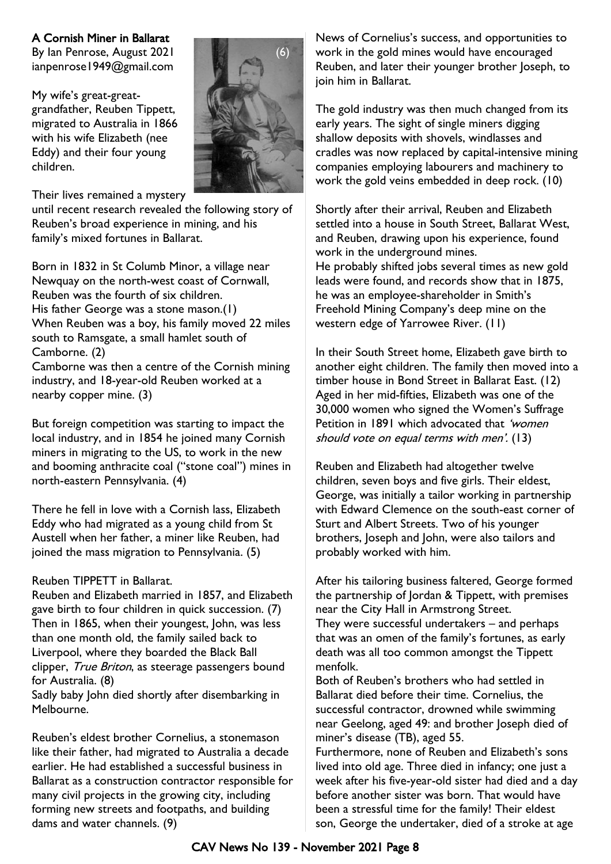#### A Cornish Miner in Ballarat

By Ian Penrose, August 2021 ianpenrose1949@gmail.com

My wife's great-greatgrandfather, Reuben Tippett, migrated to Australia in 1866 with his wife Elizabeth (nee Eddy) and their four young children.

Their lives remained a mystery

until recent research revealed the following story of Reuben's broad experience in mining, and his family's mixed fortunes in Ballarat.

Born in 1832 in St Columb Minor, a village near Newquay on the north-west coast of Cornwall, Reuben was the fourth of six children. His father George was a stone mason.(1) When Reuben was a boy, his family moved 22 miles south to Ramsgate, a small hamlet south of Camborne. (2)

Camborne was then a centre of the Cornish mining industry, and 18-year-old Reuben worked at a nearby copper mine. (3)

But foreign competition was starting to impact the local industry, and in 1854 he joined many Cornish miners in migrating to the US, to work in the new and booming anthracite coal ("stone coal") mines in north-eastern Pennsylvania. (4)

There he fell in love with a Cornish lass, Elizabeth Eddy who had migrated as a young child from St Austell when her father, a miner like Reuben, had joined the mass migration to Pennsylvania. (5)

#### Reuben TIPPETT in Ballarat.

Reuben and Elizabeth married in 1857, and Elizabeth gave birth to four children in quick succession. (7) Then in 1865, when their youngest, John, was less than one month old, the family sailed back to Liverpool, where they boarded the Black Ball clipper, True Briton, as steerage passengers bound for Australia. (8)

Sadly baby John died shortly after disembarking in Melbourne.

Reuben's eldest brother Cornelius, a stonemason like their father, had migrated to Australia a decade earlier. He had established a successful business in Ballarat as a construction contractor responsible for many civil projects in the growing city, including forming new streets and footpaths, and building dams and water channels. (9)

News of Cornelius's success, and opportunities to work in the gold mines would have encouraged Reuben, and later their younger brother Joseph, to join him in Ballarat.

The gold industry was then much changed from its early years. The sight of single miners digging shallow deposits with shovels, windlasses and cradles was now replaced by capital-intensive mining companies employing labourers and machinery to work the gold veins embedded in deep rock. (10)

Shortly after their arrival, Reuben and Elizabeth settled into a house in South Street, Ballarat West, and Reuben, drawing upon his experience, found work in the underground mines. He probably shifted jobs several times as new gold leads were found, and records show that in 1875, he was an employee-shareholder in Smith's Freehold Mining Company's deep mine on the western edge of Yarrowee River. (11)

In their South Street home, Elizabeth gave birth to another eight children. The family then moved into a timber house in Bond Street in Ballarat East. (12) Aged in her mid-fifties, Elizabeth was one of the 30,000 women who signed the Women's Suffrage Petition in 1891 which advocated that 'women' should vote on equal terms with men'. (13)

Reuben and Elizabeth had altogether twelve children, seven boys and five girls. Their eldest, George, was initially a tailor working in partnership with Edward Clemence on the south-east corner of Sturt and Albert Streets. Two of his younger brothers, Joseph and John, were also tailors and probably worked with him.

After his tailoring business faltered, George formed the partnership of Jordan & Tippett, with premises near the City Hall in Armstrong Street. They were successful undertakers – and perhaps that was an omen of the family's fortunes, as early death was all too common amongst the Tippett menfolk.

Both of Reuben's brothers who had settled in Ballarat died before their time. Cornelius, the successful contractor, drowned while swimming near Geelong, aged 49: and brother Joseph died of miner's disease (TB), aged 55.

Furthermore, none of Reuben and Elizabeth's sons lived into old age. Three died in infancy; one just a week after his five-year-old sister had died and a day before another sister was born. That would have been a stressful time for the family! Their eldest son, George the undertaker, died of a stroke at age

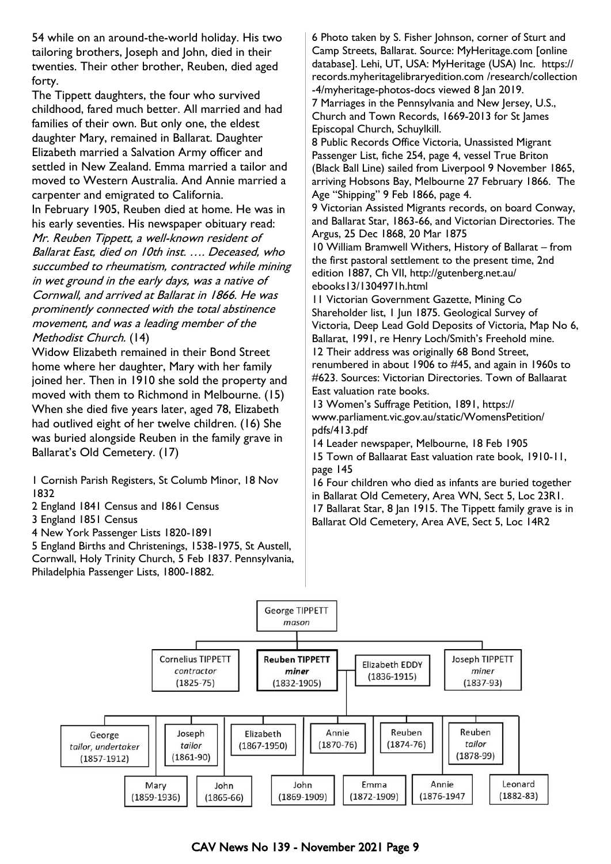54 while on an around-the-world holiday. His two tailoring brothers, Joseph and John, died in their twenties. Their other brother, Reuben, died aged forty.

The Tippett daughters, the four who survived childhood, fared much better. All married and had families of their own. But only one, the eldest daughter Mary, remained in Ballarat. Daughter Elizabeth married a Salvation Army officer and settled in New Zealand. Emma married a tailor and moved to Western Australia. And Annie married a carpenter and emigrated to California.

In February 1905, Reuben died at home. He was in his early seventies. His newspaper obituary read: Mr. Reuben Tippett, a well-known resident of Ballarat East, died on 10th inst. …. Deceased, who succumbed to rheumatism, contracted while mining in wet ground in the early days, was a native of Cornwall, and arrived at Ballarat in 1866. He was prominently connected with the total abstinence movement, and was a leading member of the Methodist Church. (14)

Widow Elizabeth remained in their Bond Street home where her daughter, Mary with her family joined her. Then in 1910 she sold the property and moved with them to Richmond in Melbourne. (15) When she died five years later, aged 78, Elizabeth had outlived eight of her twelve children. (16) She was buried alongside Reuben in the family grave in Ballarat's Old Cemetery. (17)

1 Cornish Parish Registers, St Columb Minor, 18 Nov 1832

2 England 1841 Census and 1861 Census

3 England 1851 Census

4 New York Passenger Lists 1820-1891

5 England Births and Christenings, 1538-1975, St Austell, Cornwall, Holy Trinity Church, 5 Feb 1837. Pennsylvania, Philadelphia Passenger Lists, 1800-1882.

6 Photo taken by S. Fisher Johnson, corner of Sturt and Camp Streets, Ballarat. Source: MyHeritage.com [online database]. Lehi, UT, USA: MyHeritage (USA) Inc. https:// records.myheritagelibraryedition.com /research/collection -4/myheritage-photos-docs viewed 8 Jan 2019.

7 Marriages in the Pennsylvania and New Jersey, U.S., Church and Town Records, 1669-2013 for St James Episcopal Church, Schuylkill.

8 Public Records Office Victoria, Unassisted Migrant Passenger List, fiche 254, page 4, vessel True Briton (Black Ball Line) sailed from Liverpool 9 November 1865, arriving Hobsons Bay, Melbourne 27 February 1866. The Age "Shipping" 9 Feb 1866, page 4.

9 Victorian Assisted Migrants records, on board Conway, and Ballarat Star, 1863-66, and Victorian Directories. The Argus, 25 Dec 1868, 20 Mar 1875

10 William Bramwell Withers, History of Ballarat – from the first pastoral settlement to the present time, 2nd edition 1887, Ch VII, http://gutenberg.net.au/ ebooks13/1304971h.html

11 Victorian Government Gazette, Mining Co Shareholder list, 1 Jun 1875. Geological Survey of Victoria, Deep Lead Gold Deposits of Victoria, Map No 6, Ballarat, 1991, re Henry Loch/Smith's Freehold mine. 12 Their address was originally 68 Bond Street, renumbered in about 1906 to #45, and again in 1960s to #623. Sources: Victorian Directories. Town of Ballaarat East valuation rate books.

13 Women's Suffrage Petition, 1891, https:// www.parliament.vic.gov.au/static/WomensPetition/ pdfs/413.pdf

14 Leader newspaper, Melbourne, 18 Feb 1905 15 Town of Ballaarat East valuation rate book, 1910-11, page 145

16 Four children who died as infants are buried together in Ballarat Old Cemetery, Area WN, Sect 5, Loc 23R1. 17 Ballarat Star, 8 Jan 1915. The Tippett family grave is in Ballarat Old Cemetery, Area AVE, Sect 5, Loc 14R2



CAV News No 139 - November 2021 Page 9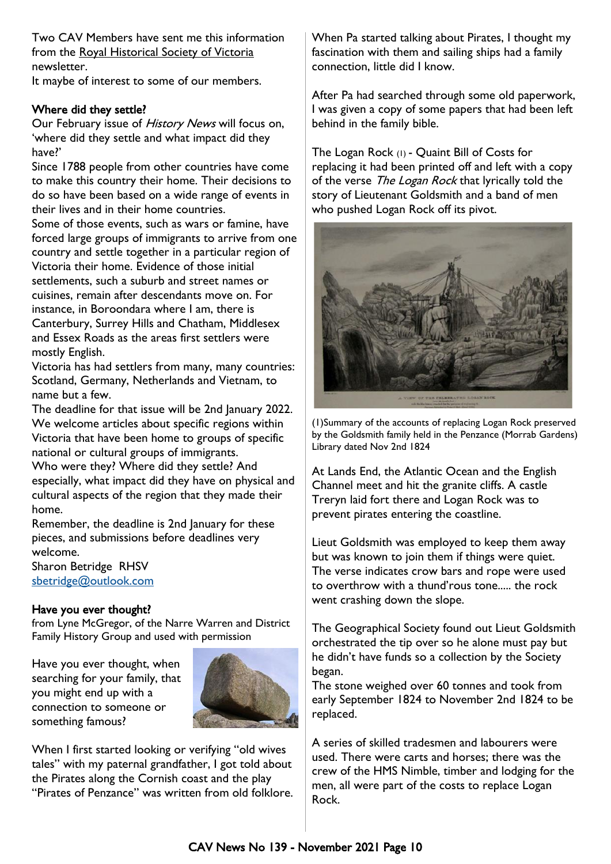Two CAV Members have sent me this information from the Royal Historical Society of Victoria newsletter.

It maybe of interest to some of our members.

#### Where did they settle?

Our February issue of History News will focus on, 'where did they settle and what impact did they have?'

Since 1788 people from other countries have come to make this country their home. Their decisions to do so have been based on a wide range of events in their lives and in their home countries.

Some of those events, such as wars or famine, have forced large groups of immigrants to arrive from one country and settle together in a particular region of Victoria their home. Evidence of those initial settlements, such a suburb and street names or cuisines, remain after descendants move on. For instance, in Boroondara where I am, there is Canterbury, Surrey Hills and Chatham, Middlesex and Essex Roads as the areas first settlers were mostly English.

Victoria has had settlers from many, many countries: Scotland, Germany, Netherlands and Vietnam, to name but a few.

The deadline for that issue will be 2nd January 2022. We welcome articles about specific regions within Victoria that have been home to groups of specific national or cultural groups of immigrants.

Who were they? Where did they settle? And especially, what impact did they have on physical and cultural aspects of the region that they made their home.

Remember, the deadline is 2nd January for these pieces, and submissions before deadlines very welcome.

Sharon Betridge RHSV [sbetridge@outlook.com](mailto:sbetridge@outlook.com)

#### Have you ever thought?

from Lyne McGregor, of the Narre Warren and District Family History Group and used with permission

Have you ever thought, when searching for your family, that you might end up with a connection to someone or something famous?



When I first started looking or verifying "old wives tales" with my paternal grandfather, I got told about the Pirates along the Cornish coast and the play "Pirates of Penzance" was written from old folklore. When Pa started talking about Pirates, I thought my fascination with them and sailing ships had a family connection, little did I know.

After Pa had searched through some old paperwork, I was given a copy of some papers that had been left behind in the family bible.

The Logan Rock (1) - Quaint Bill of Costs for replacing it had been printed off and left with a copy of the verse The Logan Rock that lyrically told the story of Lieutenant Goldsmith and a band of men who pushed Logan Rock off its pivot.



(1)Summary of the accounts of replacing Logan Rock preserved by the Goldsmith family held in the Penzance (Morrab Gardens) Library dated Nov 2nd 1824

At Lands End, the Atlantic Ocean and the English Channel meet and hit the granite cliffs. A castle Treryn laid fort there and Logan Rock was to prevent pirates entering the coastline.

Lieut Goldsmith was employed to keep them away but was known to join them if things were quiet. The verse indicates crow bars and rope were used to overthrow with a thund'rous tone..... the rock went crashing down the slope.

The Geographical Society found out Lieut Goldsmith orchestrated the tip over so he alone must pay but he didn't have funds so a collection by the Society began.

The stone weighed over 60 tonnes and took from early September 1824 to November 2nd 1824 to be replaced.

A series of skilled tradesmen and labourers were used. There were carts and horses; there was the crew of the HMS Nimble, timber and lodging for the men, all were part of the costs to replace Logan Rock.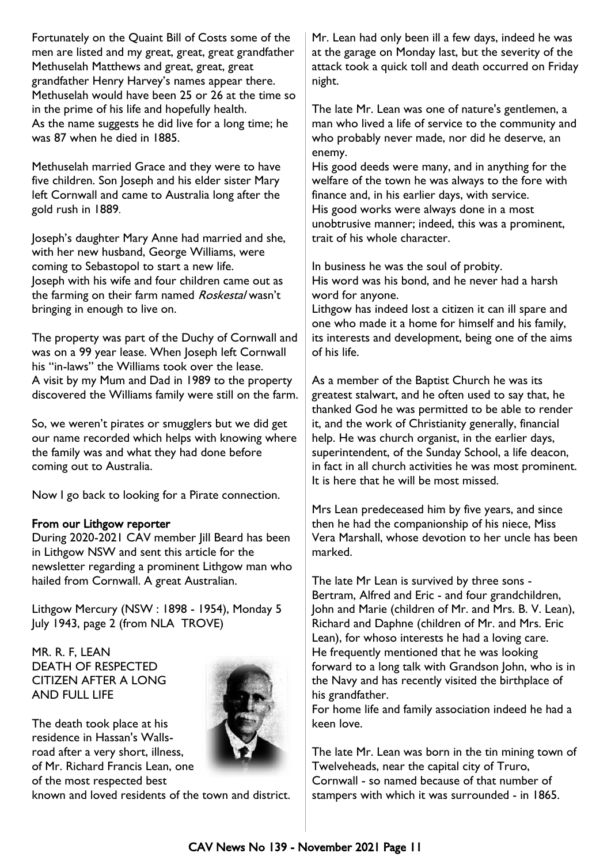Fortunately on the Quaint Bill of Costs some of the men are listed and my great, great, great grandfather Methuselah Matthews and great, great, great grandfather Henry Harvey's names appear there. Methuselah would have been 25 or 26 at the time so in the prime of his life and hopefully health. As the name suggests he did live for a long time; he was 87 when he died in 1885.

Methuselah married Grace and they were to have five children. Son Joseph and his elder sister Mary left Cornwall and came to Australia long after the gold rush in 1889.

Joseph's daughter Mary Anne had married and she, with her new husband, George Williams, were coming to Sebastopol to start a new life. Joseph with his wife and four children came out as the farming on their farm named Roskestal wasn't bringing in enough to live on.

The property was part of the Duchy of Cornwall and was on a 99 year lease. When Joseph left Cornwall his "in-laws" the Williams took over the lease. A visit by my Mum and Dad in 1989 to the property discovered the Williams family were still on the farm.

So, we weren't pirates or smugglers but we did get our name recorded which helps with knowing where the family was and what they had done before coming out to Australia.

Now I go back to looking for a Pirate connection.

#### From our Lithgow reporter

During 2020-2021 CAV member Jill Beard has been in Lithgow NSW and sent this article for the newsletter regarding a prominent Lithgow man who hailed from Cornwall. A great Australian.

Lithgow Mercury (NSW : 1898 - 1954), Monday 5 July 1943, page 2 (from NLA TROVE)

MR. R. F, LEAN DEATH OF RESPECTED CITIZEN AFTER A LONG AND FULL LIFE

The death took place at his residence in Hassan's Wallsroad after a very short, illness, of Mr. Richard Francis Lean, one of the most respected best



Mr. Lean had only been ill a few days, indeed he was at the garage on Monday last, but the severity of the attack took a quick toll and death occurred on Friday night.

The late Mr. Lean was one of nature's gentlemen, a man who lived a life of service to the community and who probably never made, nor did he deserve, an enemy.

His good deeds were many, and in anything for the welfare of the town he was always to the fore with finance and, in his earlier days, with service. His good works were always done in a most unobtrusive manner; indeed, this was a prominent, trait of his whole character.

In business he was the soul of probity. His word was his bond, and he never had a harsh word for anyone.

Lithgow has indeed lost a citizen it can ill spare and one who made it a home for himself and his family, its interests and development, being one of the aims of his life.

As a member of the Baptist Church he was its greatest stalwart, and he often used to say that, he thanked God he was permitted to be able to render it, and the work of Christianity generally, financial help. He was church organist, in the earlier days, superintendent, of the Sunday School, a life deacon, in fact in all church activities he was most prominent. It is here that he will be most missed.

Mrs Lean predeceased him by five years, and since then he had the companionship of his niece, Miss Vera Marshall, whose devotion to her uncle has been marked.

The late Mr Lean is survived by three sons - Bertram, Alfred and Eric - and four grandchildren, John and Marie (children of Mr. and Mrs. B. V. Lean), Richard and Daphne (children of Mr. and Mrs. Eric Lean), for whoso interests he had a loving care. He frequently mentioned that he was looking forward to a long talk with Grandson John, who is in the Navy and has recently visited the birthplace of his grandfather.

For home life and family association indeed he had a keen love.

The late Mr. Lean was born in the tin mining town of Twelveheads, near the capital city of Truro, Cornwall - so named because of that number of stampers with which it was surrounded - in 1865.

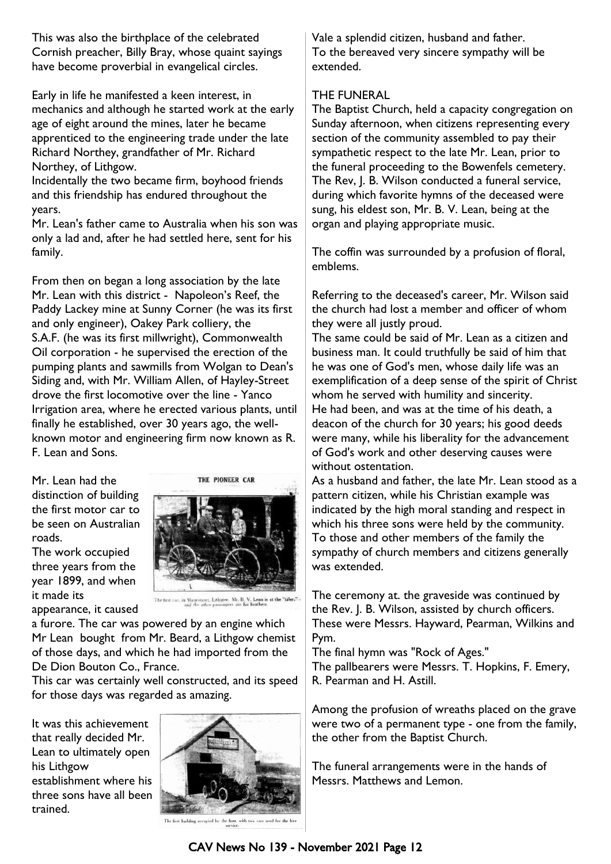This was also the birthplace of the celebrated Cornish preacher, Billy Bray, whose quaint sayings have become proverbial in evangelical circles.

Early in life he manifested a keen interest, in mechanics and although he started work at the early age of eight around the mines, later he became apprenticed to the engineering trade under the late Richard Northey, grandfather of Mr. Richard Northey, of Lithgow.

Incidentally the two became firm, boyhood friends and this friendship has endured throughout the years.

Mr. Lean's father came to Australia when his son was only a lad and, after he had settled here, sent for his family.

From then on began a long association by the late Mr. Lean with this district - Napoleon's Reef, the Paddy Lackey mine at Sunny Corner (he was its first and only engineer), Oakey Park colliery, the S.A.F. (he was its first millwright), Commonwealth Oil corporation - he supervised the erection of the pumping plants and sawmills from Wolgan to Dean's Siding and, with Mr. William Allen, of Hayley-Street drove the first locomotive over the line - Yanco Irrigation area, where he erected various plants, until finally he established, over 30 years ago, the wellknown motor and engineering firm now known as R. F. Lean and Sons.

Mr. Lean had the distinction of building the first motor car to be seen on Australian roads.

The work occupied three years from the year 1899, and when it made its appearance, it caused



The first car, in Maurotroct, Lithgow. Mr. B. V. Lean is at the "tiller,"...

a furore. The car was powered by an engine which Mr Lean bought from Mr. Beard, a Lithgow chemist of those days, and which he had imported from the De Dion Bouton Co., France.

This car was certainly well constructed, and its speed for those days was regarded as amazing.

It was this achievement that really decided Mr. Lean to ultimately open his Lithgow establishment where his three sons have all been trained.



Vale a splendid citizen, husband and father. To the bereaved very sincere sympathy will be extended.

#### THE FUNERAL

The Baptist Church, held a capacity congregation on Sunday afternoon, when citizens representing every section of the community assembled to pay their sympathetic respect to the late Mr. Lean, prior to the funeral proceeding to the Bowenfels cemetery. The Rev, J. B. Wilson conducted a funeral service, during which favorite hymns of the deceased were sung, his eldest son, Mr. B. V. Lean, being at the organ and playing appropriate music.

The coffin was surrounded by a profusion of floral, emblems.

Referring to the deceased's career, Mr. Wilson said the church had lost a member and officer of whom they were all justly proud.

The same could be said of Mr. Lean as a citizen and business man. It could truthfully be said of him that he was one of God's men, whose daily life was an exemplification of a deep sense of the spirit of Christ whom he served with humility and sincerity. He had been, and was at the time of his death, a deacon of the church for 30 years; his good deeds were many, while his liberality for the advancement of God's work and other deserving causes were without ostentation.

As a husband and father, the late Mr. Lean stood as a pattern citizen, while his Christian example was indicated by the high moral standing and respect in which his three sons were held by the community. To those and other members of the family the sympathy of church members and citizens generally was extended.

The ceremony at. the graveside was continued by the Rev. J. B. Wilson, assisted by church officers. These were Messrs. Hayward, Pearman, Wilkins and Pym.

The final hymn was "Rock of Ages."

The pallbearers were Messrs. T. Hopkins, F. Emery, R. Pearman and H. Astill.

Among the profusion of wreaths placed on the grave were two of a permanent type - one from the family, the other from the Baptist Church.

The funeral arrangements were in the hands of Messrs. Matthews and Lemon.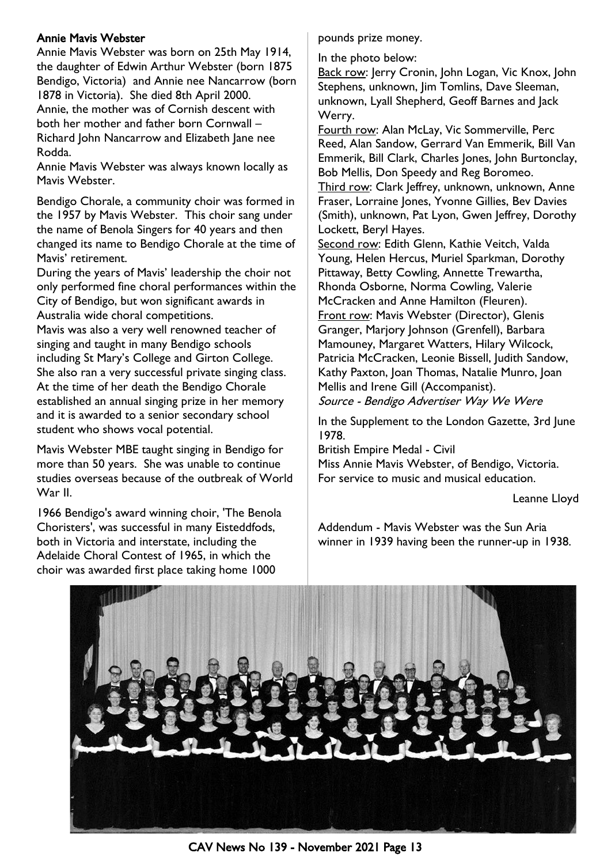#### Annie Mavis Webster

Annie Mavis Webster was born on 25th May 1914, the daughter of Edwin Arthur Webster (born 1875 Bendigo, Victoria) and Annie nee Nancarrow (born

1878 in Victoria). She died 8th April 2000. Annie, the mother was of Cornish descent with both her mother and father born Cornwall – Richard John Nancarrow and Elizabeth Jane nee Rodda.

Annie Mavis Webster was always known locally as Mavis Webster.

Bendigo Chorale, a community choir was formed in the 1957 by Mavis Webster. This choir sang under the name of Benola Singers for 40 years and then changed its name to Bendigo Chorale at the time of Mavis' retirement.

During the years of Mavis' leadership the choir not only performed fine choral performances within the City of Bendigo, but won significant awards in Australia wide choral competitions.

Mavis was also a very well renowned teacher of singing and taught in many Bendigo schools including St Mary's College and Girton College. She also ran a very successful private singing class. At the time of her death the Bendigo Chorale established an annual singing prize in her memory and it is awarded to a senior secondary school student who shows vocal potential.

Mavis Webster MBE taught singing in Bendigo for more than 50 years. She was unable to continue studies overseas because of the outbreak of World War II.

1966 Bendigo's award winning choir, 'The Benola Choristers', was successful in many Eisteddfods, both in Victoria and interstate, including the Adelaide Choral Contest of 1965, in which the choir was awarded first place taking home 1000

pounds prize money.

In the photo below:

Back row: Jerry Cronin, John Logan, Vic Knox, John Stephens, unknown, Jim Tomlins, Dave Sleeman, unknown, Lyall Shepherd, Geoff Barnes and Jack Werry.

Fourth row: Alan McLay, Vic Sommerville, Perc Reed, Alan Sandow, Gerrard Van Emmerik, Bill Van Emmerik, Bill Clark, Charles Jones, John Burtonclay, Bob Mellis, Don Speedy and Reg Boromeo.

Third row: Clark Jeffrey, unknown, unknown, Anne Fraser, Lorraine Jones, Yvonne Gillies, Bev Davies (Smith), unknown, Pat Lyon, Gwen Jeffrey, Dorothy Lockett, Beryl Hayes.

Second row: Edith Glenn, Kathie Veitch, Valda Young, Helen Hercus, Muriel Sparkman, Dorothy Pittaway, Betty Cowling, Annette Trewartha, Rhonda Osborne, Norma Cowling, Valerie McCracken and Anne Hamilton (Fleuren). Front row: Mavis Webster (Director), Glenis Granger, Marjory Johnson (Grenfell), Barbara Mamouney, Margaret Watters, Hilary Wilcock, Patricia McCracken, Leonie Bissell, Judith Sandow, Kathy Paxton, Joan Thomas, Natalie Munro, Joan Mellis and Irene Gill (Accompanist). Source - Bendigo Advertiser Way We Were

In the Supplement to the London Gazette, 3rd June 1978.

British Empire Medal - Civil

Miss Annie Mavis Webster, of Bendigo, Victoria. For service to music and musical education.

Leanne Lloyd

Addendum - Mavis Webster was the Sun Aria winner in 1939 having been the runner-up in 1938.



CAV News No 139 - November 2021 Page 13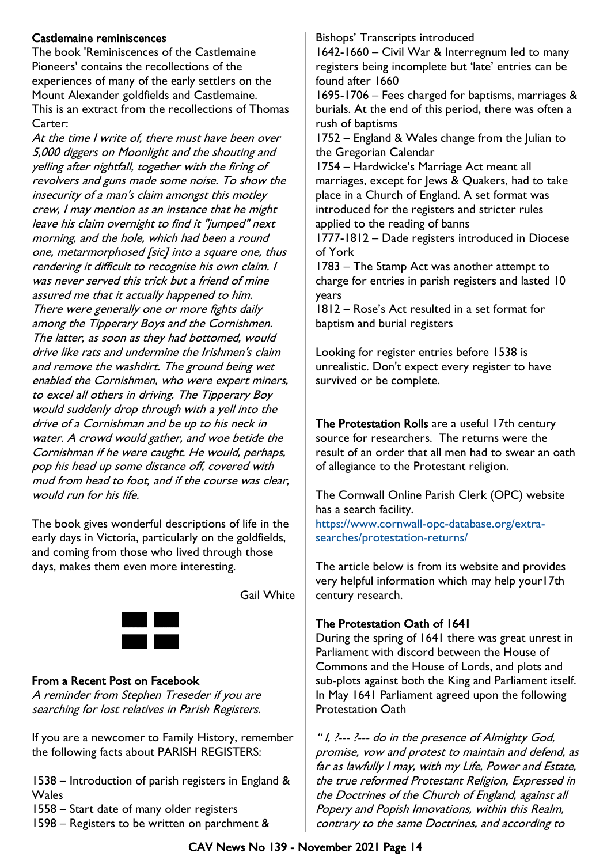#### Castlemaine reminiscences

The book 'Reminiscences of the Castlemaine Pioneers' contains the recollections of the experiences of many of the early settlers on the Mount Alexander goldfields and Castlemaine. This is an extract from the recollections of Thomas Carter:

At the time I write of, there must have been over 5,000 diggers on Moonlight and the shouting and yelling after nightfall, together with the firing of revolvers and guns made some noise. To show the insecurity of a man's claim amongst this motley crew, I may mention as an instance that he might leave his claim overnight to find it "jumped" next morning, and the hole, which had been a round one, metarmorphosed [sic] into a square one, thus rendering it difficult to recognise his own claim. I was never served this trick but a friend of mine assured me that it actually happened to him. There were generally one or more fights daily among the Tipperary Boys and the Cornishmen. The latter, as soon as they had bottomed, would drive like rats and undermine the Irishmen's claim and remove the washdirt. The ground being wet enabled the Cornishmen, who were expert miners, to excel all others in driving. The Tipperary Boy would suddenly drop through with a yell into the drive of a Cornishman and be up to his neck in water. A crowd would gather, and woe betide the Cornishman if he were caught. He would, perhaps, pop his head up some distance off, covered with mud from head to foot, and if the course was clear, would run for his life.

The book gives wonderful descriptions of life in the early days in Victoria, particularly on the goldfields, and coming from those who lived through those days, makes them even more interesting.

Gail White



#### From a Recent Post on Facebook

A reminder from Stephen Treseder if you are searching for lost relatives in Parish Registers.

If you are a newcomer to Family History, remember the following facts about PARISH REGISTERS:

1538 – Introduction of parish registers in England & **Wales** 

1558 – Start date of many older registers

1598 – Registers to be written on parchment &

Bishops' Transcripts introduced

1642-1660 – Civil War & Interregnum led to many registers being incomplete but 'late' entries can be found after 1660

1695-1706 – Fees charged for baptisms, marriages & burials. At the end of this period, there was often a rush of baptisms

1752 – England & Wales change from the Julian to the Gregorian Calendar

1754 – Hardwicke's Marriage Act meant all marriages, except for Jews & Quakers, had to take place in a Church of England. A set format was introduced for the registers and stricter rules applied to the reading of banns

1777-1812 – Dade registers introduced in Diocese of York

1783 – The Stamp Act was another attempt to charge for entries in parish registers and lasted 10 years

1812 – Rose's Act resulted in a set format for baptism and burial registers

Looking for register entries before 1538 is unrealistic. Don't expect every register to have survived or be complete.

The Protestation Rolls are a useful 17th century source for researchers. The returns were the result of an order that all men had to swear an oath of allegiance to the Protestant religion.

The Cornwall Online Parish Clerk (OPC) website has a search facility.

[https://www.cornwall-opc-database.org/extra](https://www.cornwall-opc-database.org/extra-searches/protestation-returns/)[searches/protestation-returns/](https://www.cornwall-opc-database.org/extra-searches/protestation-returns/)

The article below is from its website and provides very helpful information which may help your17th century research.

#### The Protestation Oath of 1641

During the spring of 1641 there was great unrest in Parliament with discord between the House of Commons and the House of Lords, and plots and sub-plots against both the King and Parliament itself. In May 1641 Parliament agreed upon the following Protestation Oath

" I, ?--- ?--- do in the presence of Almighty God, promise, vow and protest to maintain and defend, as far as lawfully I may, with my Life, Power and Estate, the true reformed Protestant Religion, Expressed in the Doctrines of the Church of England, against all Popery and Popish Innovations, within this Realm, contrary to the same Doctrines, and according to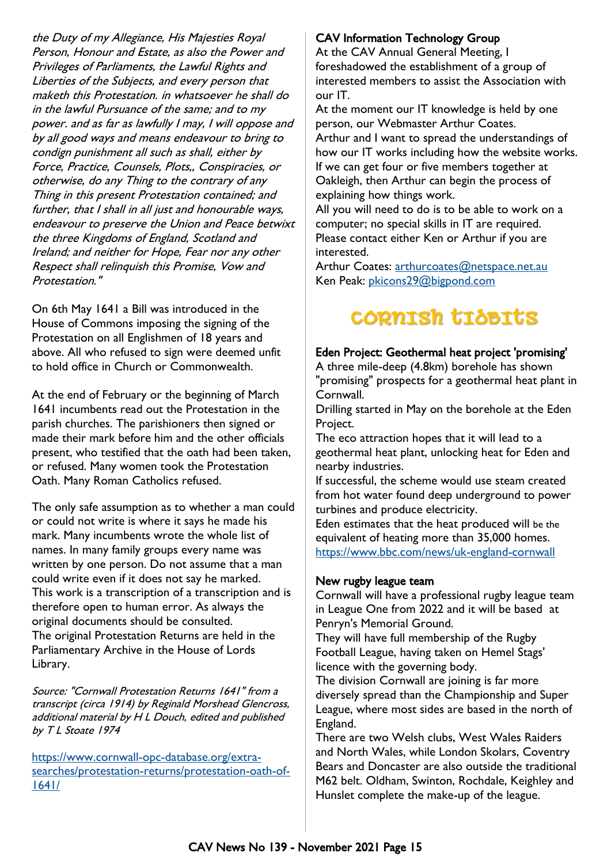the Duty of my Allegiance, His Majesties Royal Person, Honour and Estate, as also the Power and Privileges of Parliaments, the Lawful Rights and Liberties of the Subjects, and every person that maketh this Protestation. in whatsoever he shall do in the lawful Pursuance of the same; and to my power. and as far as lawfully I may, I will oppose and by all good ways and means endeavour to bring to condign punishment all such as shall, either by Force, Practice, Counsels, Plots,, Conspiracies, or otherwise, do any Thing to the contrary of any Thing in this present Protestation contained; and further, that I shall in all just and honourable ways, endeavour to preserve the Union and Peace betwixt the three Kingdoms of England, Scotland and Ireland; and neither for Hope, Fear nor any other Respect shall relinquish this Promise, Vow and Protestation."

On 6th May 1641 a Bill was introduced in the House of Commons imposing the signing of the Protestation on all Englishmen of 18 years and above. All who refused to sign were deemed unfit to hold office in Church or Commonwealth.

At the end of February or the beginning of March 1641 incumbents read out the Protestation in the parish churches. The parishioners then signed or made their mark before him and the other officials present, who testified that the oath had been taken, or refused. Many women took the Protestation Oath. Many Roman Catholics refused.

The only safe assumption as to whether a man could or could not write is where it says he made his mark. Many incumbents wrote the whole list of names. In many family groups every name was written by one person. Do not assume that a man could write even if it does not say he marked. This work is a transcription of a transcription and is therefore open to human error. As always the original documents should be consulted. The original Protestation Returns are held in the Parliamentary Archive in the House of Lords Library.

Source: "Cornwall Protestation Returns 1641" from a transcript (circa 1914) by Reginald Morshead Glencross, additional material by H L Douch, edited and published by T L Stoate 1974

[https://www.cornwall-opc-database.org/extra](https://www.cornwall-opc-database.org/extra-searches/protestation-returns/protestation-oath-of-1641/)[searches/protestation-returns/protestation-oath-of-](https://www.cornwall-opc-database.org/extra-searches/protestation-returns/protestation-oath-of-1641/)[1641/](https://www.cornwall-opc-database.org/extra-searches/protestation-returns/protestation-oath-of-1641/)

# CAV Information Technology Group

At the CAV Annual General Meeting, I foreshadowed the establishment of a group of interested members to assist the Association with our IT.

At the moment our IT knowledge is held by one person, our Webmaster Arthur Coates. Arthur and I want to spread the understandings of how our IT works including how the website works. If we can get four or five members together at Oakleigh, then Arthur can begin the process of explaining how things work.

All you will need to do is to be able to work on a computer; no special skills in IT are required. Please contact either Ken or Arthur if you are interested.

Arthur Coates: [arthurcoates@netspace.net.au](mailto:arthurcoates@netspace.net.au) Ken Peak: [pkicons29@bigpond.com](mailto:pkicons29@bigpond.com)

# **CORNISH TIDBITS**

#### Eden Project: Geothermal heat project 'promising'

A three mile-deep (4.8km) borehole has shown "promising" prospects for a geothermal heat plant in Cornwall.

Drilling started in May on the borehole at the Eden Project.

The eco attraction hopes that it will lead to a geothermal heat plant, unlocking heat for Eden and nearby industries.

If successful, the scheme would use steam created from hot water found deep underground to power turbines and produce electricity.

Eden estimates that the heat produced will be the equivalent of heating more than 35,000 homes. <https://www.bbc.com/news/uk-england-cornwall>

#### New rugby league team

Cornwall will have a professional rugby league team in League One from 2022 and it will be based at Penryn's Memorial Ground.

They will have full membership of the Rugby Football League, having taken on Hemel Stags' licence with the governing body.

The division Cornwall are joining is far more diversely spread than the Championship and Super League, where most sides are based in the north of England.

There are two Welsh clubs, West Wales Raiders and North Wales, while London Skolars, Coventry Bears and Doncaster are also outside the traditional M62 belt. Oldham, Swinton, Rochdale, Keighley and Hunslet complete the make-up of the league.